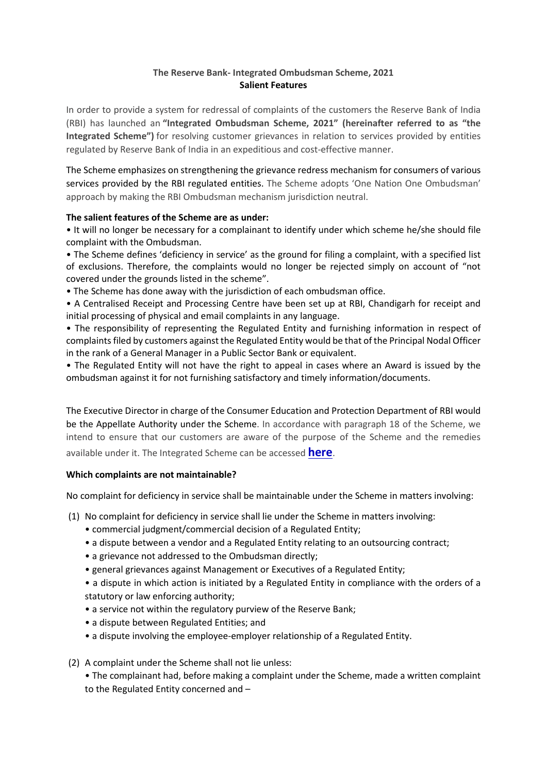## **The Reserve Bank- Integrated Ombudsman Scheme, 2021 Salient Features**

In order to provide a system for redressal of complaints of the customers the Reserve Bank of India (RBI) has launched an **"Integrated Ombudsman Scheme, 2021" (hereinafter referred to as "the Integrated Scheme")** for resolving customer grievances in relation to services provided by entities regulated by Reserve Bank of India in an expeditious and cost-effective manner.

The Scheme emphasizes on strengthening the grievance redress mechanism for consumers of various services provided by the RBI regulated entities. The Scheme adopts 'One Nation One Ombudsman' approach by making the RBI Ombudsman mechanism jurisdiction neutral.

### **The salient features of the Scheme are as under:**

• It will no longer be necessary for a complainant to identify under which scheme he/she should file complaint with the Ombudsman.

• The Scheme defines 'deficiency in service' as the ground for filing a complaint, with a specified list of exclusions. Therefore, the complaints would no longer be rejected simply on account of "not covered under the grounds listed in the scheme".

- The Scheme has done away with the jurisdiction of each ombudsman office.
- A Centralised Receipt and Processing Centre have been set up at RBI, Chandigarh for receipt and initial processing of physical and email complaints in any language.

• The responsibility of representing the Regulated Entity and furnishing information in respect of complaints filed by customers against the Regulated Entity would be that of the Principal Nodal Officer in the rank of a General Manager in a Public Sector Bank or equivalent.

• The Regulated Entity will not have the right to appeal in cases where an Award is issued by the ombudsman against it for not furnishing satisfactory and timely information/documents.

The Executive Director in charge of the Consumer Education and Protection Department of RBI would be the Appellate Authority under the Scheme. In accordance with paragraph 18 of the Scheme, we intend to ensure that our customers are aware of the purpose of the Scheme and the remedies available under it. The Integrated Scheme can be accessed **[here](http://jacipl.com/wp-content/uploads/2022/04/THE-RESERVE-BANK-INTEGRATED-OMBUDSMAN-SCHEME-2021-1.pdf)**.

### **Which complaints are not maintainable?**

No complaint for deficiency in service shall be maintainable under the Scheme in matters involving:

- (1) No complaint for deficiency in service shall lie under the Scheme in matters involving:
	- commercial judgment/commercial decision of a Regulated Entity;
	- a dispute between a vendor and a Regulated Entity relating to an outsourcing contract;
	- a grievance not addressed to the Ombudsman directly;
	- general grievances against Management or Executives of a Regulated Entity;

• a dispute in which action is initiated by a Regulated Entity in compliance with the orders of a statutory or law enforcing authority;

- a service not within the regulatory purview of the Reserve Bank;
- a dispute between Regulated Entities; and
- a dispute involving the employee-employer relationship of a Regulated Entity.
- (2) A complaint under the Scheme shall not lie unless:

• The complainant had, before making a complaint under the Scheme, made a written complaint to the Regulated Entity concerned and –